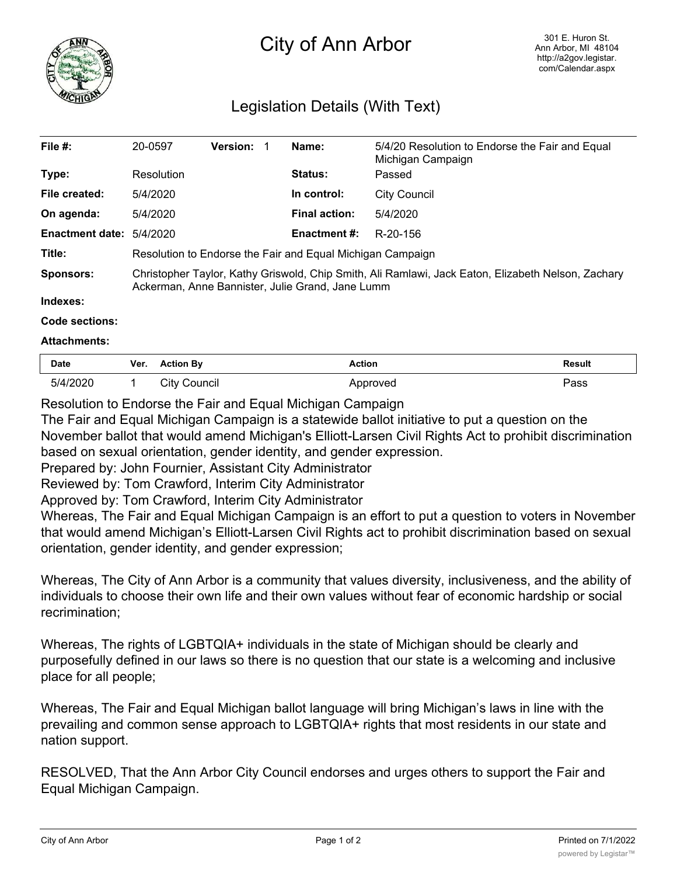

# City of Ann Arbor

## Legislation Details (With Text)

| File $#$ :                      | 20-0597                                                                                                                                                | <b>Version:</b> |  | Name:                | 5/4/20 Resolution to Endorse the Fair and Equal<br>Michigan Campaign |  |
|---------------------------------|--------------------------------------------------------------------------------------------------------------------------------------------------------|-----------------|--|----------------------|----------------------------------------------------------------------|--|
| Type:                           | Resolution                                                                                                                                             |                 |  | <b>Status:</b>       | Passed                                                               |  |
| File created:                   | 5/4/2020                                                                                                                                               |                 |  | In control:          | City Council                                                         |  |
| On agenda:                      | 5/4/2020                                                                                                                                               |                 |  | <b>Final action:</b> | 5/4/2020                                                             |  |
| <b>Enactment date: 5/4/2020</b> |                                                                                                                                                        |                 |  | <b>Enactment #:</b>  | R-20-156                                                             |  |
| Title:                          | Resolution to Endorse the Fair and Equal Michigan Campaign                                                                                             |                 |  |                      |                                                                      |  |
| <b>Sponsors:</b>                | Christopher Taylor, Kathy Griswold, Chip Smith, Ali Ramlawi, Jack Eaton, Elizabeth Nelson, Zachary<br>Ackerman, Anne Bannister, Julie Grand, Jane Lumm |                 |  |                      |                                                                      |  |
| Indexes:                        |                                                                                                                                                        |                 |  |                      |                                                                      |  |

### **Code sections:**

#### **Attachments:**

| <b>Date</b> | Ver. | <b>Action By</b> | Action   | <b>Result</b> |
|-------------|------|------------------|----------|---------------|
| 5/4/2020    |      | City Council     | Approved | Pass          |

#### Resolution to Endorse the Fair and Equal Michigan Campaign

The Fair and Equal Michigan Campaign is a statewide ballot initiative to put a question on the November ballot that would amend Michigan's Elliott-Larsen Civil Rights Act to prohibit discrimination based on sexual orientation, gender identity, and gender expression.

Prepared by: John Fournier, Assistant City Administrator

Reviewed by: Tom Crawford, Interim City Administrator

Approved by: Tom Crawford, Interim City Administrator

Whereas, The Fair and Equal Michigan Campaign is an effort to put a question to voters in November that would amend Michigan's Elliott-Larsen Civil Rights act to prohibit discrimination based on sexual orientation, gender identity, and gender expression;

Whereas, The City of Ann Arbor is a community that values diversity, inclusiveness, and the ability of individuals to choose their own life and their own values without fear of economic hardship or social recrimination;

Whereas, The rights of LGBTQIA+ individuals in the state of Michigan should be clearly and purposefully defined in our laws so there is no question that our state is a welcoming and inclusive place for all people;

Whereas, The Fair and Equal Michigan ballot language will bring Michigan's laws in line with the prevailing and common sense approach to LGBTQIA+ rights that most residents in our state and nation support.

RESOLVED, That the Ann Arbor City Council endorses and urges others to support the Fair and Equal Michigan Campaign.